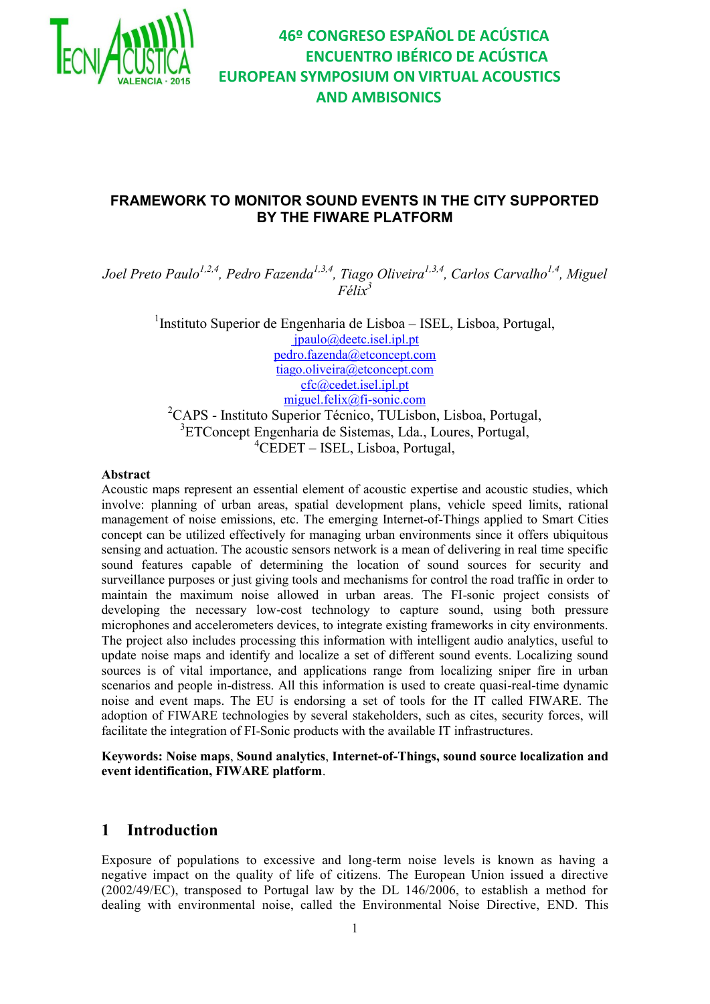

# **46º CONGRESO ESPAÑOL DE ACÚSTICA ENCUENTRO IBÉRICO DE ACÚSTICA EUROPEAN SYMPOSIUM ON VIRTUAL ACOUSTICS AND AMBISONICS**

## **FRAMEWORK TO MONITOR SOUND EVENTS IN THE CITY SUPPORTED BY THE FIWARE PLATFORM**

*Joel Preto Paulo1,2,4, Pedro Fazenda1,3,4, Tiago Oliveira1,3,4, Carlos Carvalho1,4 , Miguel Félix<sup>3</sup>*

> <sup>1</sup>Instituto Superior de Engenharia de Lisboa - ISEL, Lisboa, Portugal, [jpaulo@deetc.isel.ipl.pt](mailto:jpaulo@deetc.isel.ipl.pt) [pedro.fazenda@etconcept.com](mailto:pedro.fazenda@etconcept.com) [tiago.oliveira@etconcept.com](mailto:tiago.oliveira@etconcept.com) [cfc@cedet.isel.ipl.pt](mailto:cfc@cedet.isel.ipl.pt) miguel.felix@fi-sonic.com <sup>2</sup>CAPS - Instituto Superior Técnico, TULisbon, Lisboa, Portugal, 3 ETConcept Engenharia de Sistemas, Lda., Loures, Portugal,

<sup>4</sup>CEDET – ISEL, Lisboa, Portugal,

#### **Abstract**

Acoustic maps represent an essential element of acoustic expertise and acoustic studies, which involve: planning of urban areas, spatial development plans, vehicle speed limits, rational management of noise emissions, etc. The emerging Internet-of-Things applied to Smart Cities concept can be utilized effectively for managing urban environments since it offers ubiquitous sensing and actuation. The acoustic sensors network is a mean of delivering in real time specific sound features capable of determining the location of sound sources for security and surveillance purposes or just giving tools and mechanisms for control the road traffic in order to maintain the maximum noise allowed in urban areas. The FI-sonic project consists of developing the necessary low-cost technology to capture sound, using both pressure microphones and accelerometers devices, to integrate existing frameworks in city environments. The project also includes processing this information with intelligent audio analytics, useful to update noise maps and identify and localize a set of different sound events. Localizing sound sources is of vital importance, and applications range from localizing sniper fire in urban scenarios and people in-distress. All this information is used to create quasi-real-time dynamic noise and event maps. The EU is endorsing a set of tools for the IT called FIWARE. The adoption of FIWARE technologies by several stakeholders, such as cites, security forces, will facilitate the integration of FI-Sonic products with the available IT infrastructures.

**Keywords: Noise maps**, **Sound analytics**, **Internet-of-Things, sound source localization and event identification, FIWARE platform**.

## **1 Introduction**

Exposure of populations to excessive and long-term noise levels is known as having a negative impact on the quality of life of citizens. The European Union issued a directive (2002/49/EC), transposed to Portugal law by the DL 146/2006, to establish a method for dealing with environmental noise, called the Environmental Noise Directive, END. This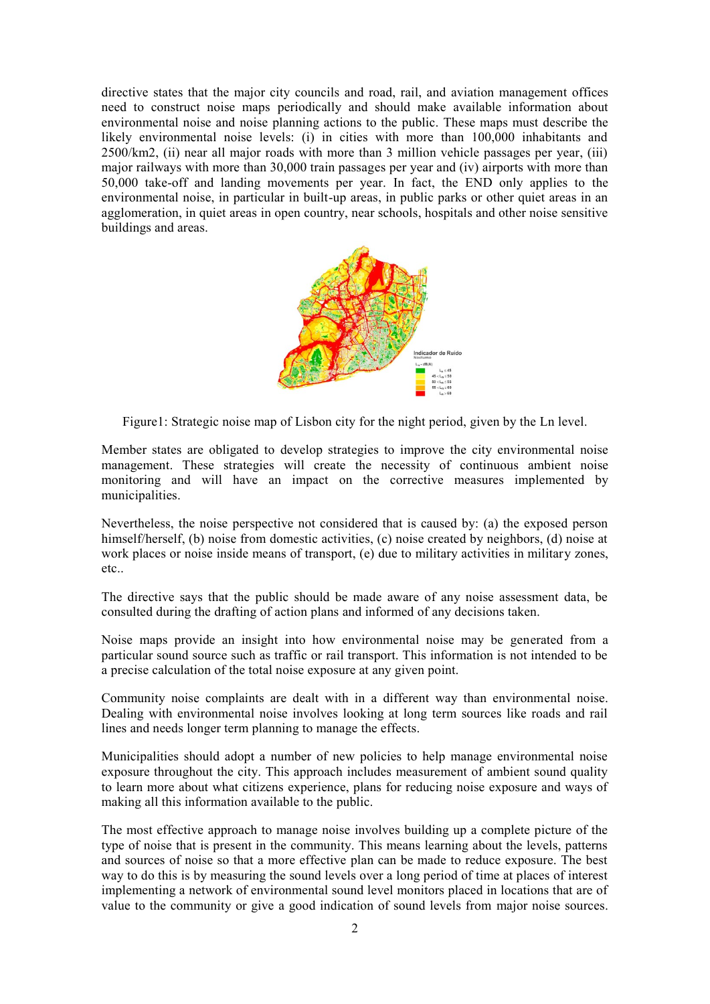directive states that the major city councils and road, rail, and aviation management offices need to construct noise maps periodically and should make available information about environmental noise and noise planning actions to the public. These maps must describe the likely environmental noise levels: (i) in cities with more than 100,000 inhabitants and 2500/km2, (ii) near all major roads with more than 3 million vehicle passages per year, (iii) major railways with more than 30,000 train passages per year and (iv) airports with more than 50,000 take-off and landing movements per year. In fact, the END only applies to the environmental noise, in particular in built-up areas, in public parks or other quiet areas in an agglomeration, in quiet areas in open country, near schools, hospitals and other noise sensitive buildings and areas.



Figure1: Strategic noise map of Lisbon city for the night period, given by the Ln level.

Member states are obligated to develop strategies to improve the city environmental noise management. These strategies will create the necessity of continuous ambient noise monitoring and will have an impact on the corrective measures implemented by municipalities.

Nevertheless, the noise perspective not considered that is caused by: (a) the exposed person himself/herself, (b) noise from domestic activities, (c) noise created by neighbors, (d) noise at work places or noise inside means of transport, (e) due to military activities in military zones, etc..

The directive says that the public should be made aware of any noise assessment data, be consulted during the drafting of action plans and informed of any decisions taken.

Noise maps provide an insight into how environmental noise may be generated from a particular sound source such as traffic or rail transport. This information is not intended to be a precise calculation of the total noise exposure at any given point.

Community noise complaints are dealt with in a different way than environmental noise. Dealing with environmental noise involves looking at long term sources like roads and rail lines and needs longer term planning to manage the effects.

Municipalities should adopt a number of new policies to help manage environmental noise exposure throughout the city. This approach includes measurement of ambient sound quality to learn more about what citizens experience, plans for reducing noise exposure and ways of making all this information available to the public.

The most effective approach to manage noise involves building up a complete picture of the type of noise that is present in the community. This means learning about the levels, patterns and sources of noise so that a more effective plan can be made to reduce exposure. The best way to do this is by measuring the sound levels over a long period of time at places of interest implementing a network of environmental sound level monitors placed in locations that are of value to the community or give a good indication of sound levels from major noise sources.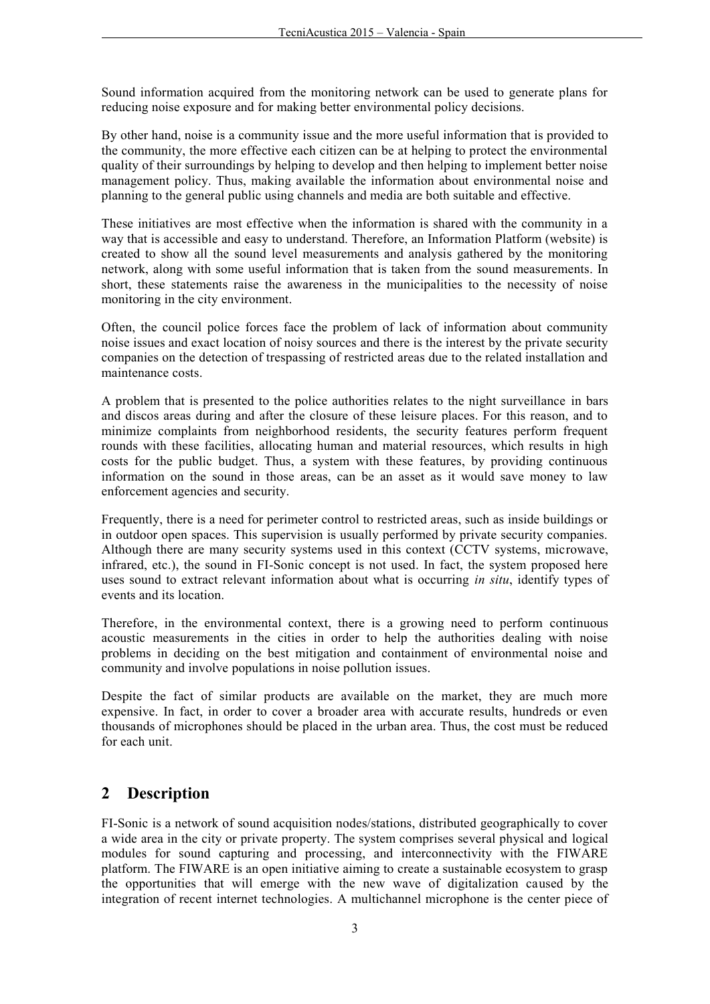Sound information acquired from the monitoring network can be used to generate plans for reducing noise exposure and for making better environmental policy decisions.

By other hand, noise is a community issue and the more useful information that is provided to the community, the more effective each citizen can be at helping to protect the environmental quality of their surroundings by helping to develop and then helping to implement better noise management policy. Thus, making available the information about environmental noise and planning to the general public using channels and media are both suitable and effective.

These initiatives are most effective when the information is shared with the community in a way that is accessible and easy to understand. Therefore, an Information Platform (website) is created to show all the sound level measurements and analysis gathered by the monitoring network, along with some useful information that is taken from the sound measurements. In short, these statements raise the awareness in the municipalities to the necessity of noise monitoring in the city environment.

Often, the council police forces face the problem of lack of information about community noise issues and exact location of noisy sources and there is the interest by the private security companies on the detection of trespassing of restricted areas due to the related installation and maintenance costs.

A problem that is presented to the police authorities relates to the night surveillance in bars and discos areas during and after the closure of these leisure places. For this reason, and to minimize complaints from neighborhood residents, the security features perform frequent rounds with these facilities, allocating human and material resources, which results in high costs for the public budget. Thus, a system with these features, by providing continuous information on the sound in those areas, can be an asset as it would save money to law enforcement agencies and security.

Frequently, there is a need for perimeter control to restricted areas, such as inside buildings or in outdoor open spaces. This supervision is usually performed by private security companies. Although there are many security systems used in this context (CCTV systems, microwave, infrared, etc.), the sound in FI-Sonic concept is not used. In fact, the system proposed here uses sound to extract relevant information about what is occurring *in situ*, identify types of events and its location.

Therefore, in the environmental context, there is a growing need to perform continuous acoustic measurements in the cities in order to help the authorities dealing with noise problems in deciding on the best mitigation and containment of environmental noise and community and involve populations in noise pollution issues.

Despite the fact of similar products are available on the market, they are much more expensive. In fact, in order to cover a broader area with accurate results, hundreds or even thousands of microphones should be placed in the urban area. Thus, the cost must be reduced for each unit.

## **2 Description**

FI-Sonic is a network of sound acquisition nodes/stations, distributed geographically to cover a wide area in the city or private property. The system comprises several physical and logical modules for sound capturing and processing, and interconnectivity with the FIWARE platform. The FIWARE is an open initiative aiming to create a sustainable ecosystem to grasp the opportunities that will emerge with the new wave of digitalization caused by the integration of recent internet technologies. A multichannel microphone is the center piece of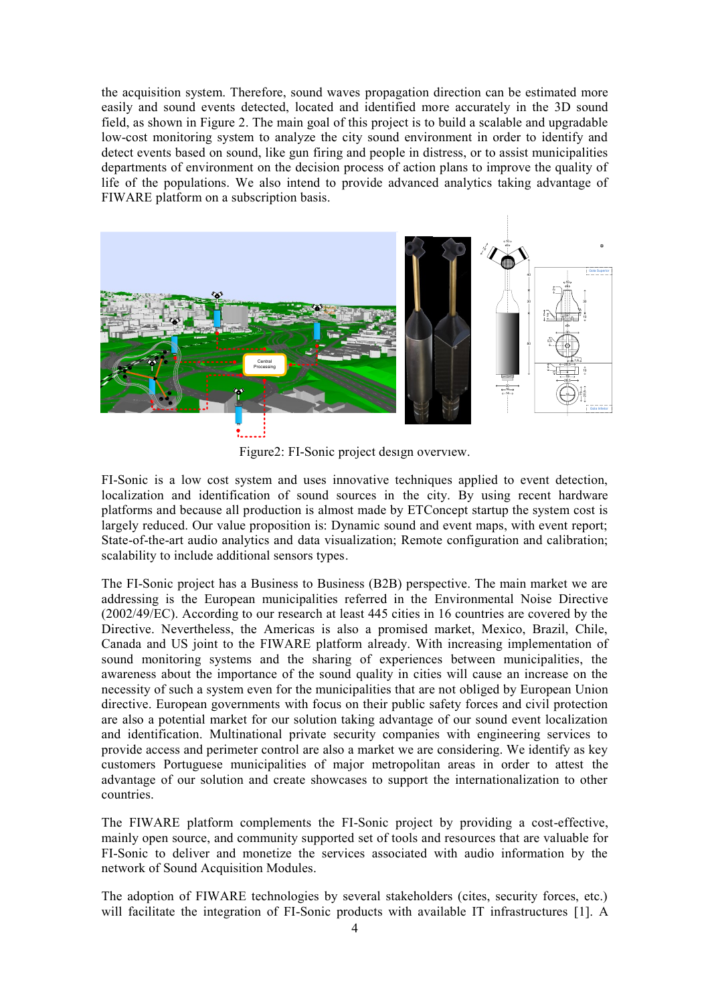the acquisition system. Therefore, sound waves propagation direction can be estimated more easily and sound events detected, located and identified more accurately in the 3D sound field, as shown in Figure 2. The main goal of this project is to build a scalable and upgradable low-cost monitoring system to analyze the city sound environment in order to identify and detect events based on sound, like gun firing and people in distress, or to assist municipalities departments of environment on the decision process of action plans to improve the quality of life of the populations. We also intend to provide advanced analytics taking advantage of FIWARE platform on a subscription basis.



Figure2: FI-Sonic project design overview.

FI-Sonic is a low cost system and uses innovative techniques applied to event detection, localization and identification of sound sources in the city. By using recent hardware platforms and because all production is almost made by ETConcept startup the system cost is largely reduced. Our value proposition is: Dynamic sound and event maps, with event report; State-of-the-art audio analytics and data visualization; Remote configuration and calibration; scalability to include additional sensors types.

The FI-Sonic project has a Business to Business (B2B) perspective. The main market we are addressing is the European municipalities referred in the Environmental Noise Directive (2002/49/EC). According to our research at least 445 cities in 16 countries are covered by the Directive. Nevertheless, the Americas is also a promised market, Mexico, Brazil, Chile, Canada and US joint to the FIWARE platform already. With increasing implementation of sound monitoring systems and the sharing of experiences between municipalities, the awareness about the importance of the sound quality in cities will cause an increase on the necessity of such a system even for the municipalities that are not obliged by European Union directive. European governments with focus on their public safety forces and civil protection are also a potential market for our solution taking advantage of our sound event localization and identification. Multinational private security companies with engineering services to provide access and perimeter control are also a market we are considering. We identify as key customers Portuguese municipalities of major metropolitan areas in order to attest the advantage of our solution and create showcases to support the internationalization to other countries.

The FIWARE platform complements the FI-Sonic project by providing a cost-effective, mainly open source, and community supported set of tools and resources that are valuable for FI-Sonic to deliver and monetize the services associated with audio information by the network of Sound Acquisition Modules.

The adoption of FIWARE technologies by several stakeholders (cites, security forces, etc.) will facilitate the integration of FI-Sonic products with available IT infrastructures [1]. A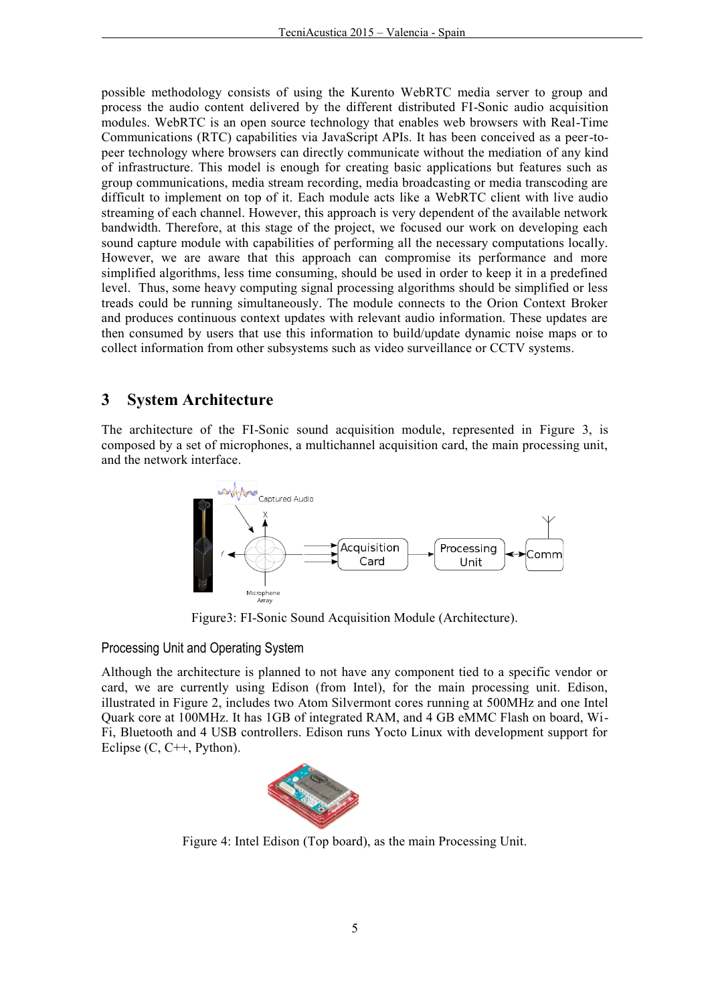possible methodology consists of using the Kurento WebRTC media server to group and process the audio content delivered by the different distributed FI-Sonic audio acquisition modules. WebRTC is an open source technology that enables web browsers with Real-Time Communications (RTC) capabilities via JavaScript APIs. It has been conceived as a peer-topeer technology where browsers can directly communicate without the mediation of any kind of infrastructure. This model is enough for creating basic applications but features such as group communications, media stream recording, media broadcasting or media transcoding are difficult to implement on top of it. Each module acts like a WebRTC client with live audio streaming of each channel. However, this approach is very dependent of the available network bandwidth. Therefore, at this stage of the project, we focused our work on developing each sound capture module with capabilities of performing all the necessary computations locally. However, we are aware that this approach can compromise its performance and more simplified algorithms, less time consuming, should be used in order to keep it in a predefined level. Thus, some heavy computing signal processing algorithms should be simplified or less treads could be running simultaneously. The module connects to the Orion Context Broker and produces continuous context updates with relevant audio information. These updates are then consumed by users that use this information to build/update dynamic noise maps or to collect information from other subsystems such as video surveillance or CCTV systems.

### **3 System Architecture**

The architecture of the FI-Sonic sound acquisition module, represented in Figure 3, is composed by a set of microphones, a multichannel acquisition card, the main processing unit, and the network interface.



Figure3: FI-Sonic Sound Acquisition Module (Architecture).

Processing Unit and Operating System

Although the architecture is planned to not have any component tied to a specific vendor or card, we are currently using Edison (from Intel), for the main processing unit. Edison, illustrated in Figure 2, includes two Atom Silvermont cores running at 500MHz and one Intel Quark core at 100MHz. It has 1GB of integrated RAM, and 4 GB eMMC Flash on board, Wi-Fi, Bluetooth and 4 USB controllers. Edison runs Yocto Linux with development support for Eclipse  $(C, C^{++}, \text{Python})$ .



Figure 4: Intel Edison (Top board), as the main Processing Unit.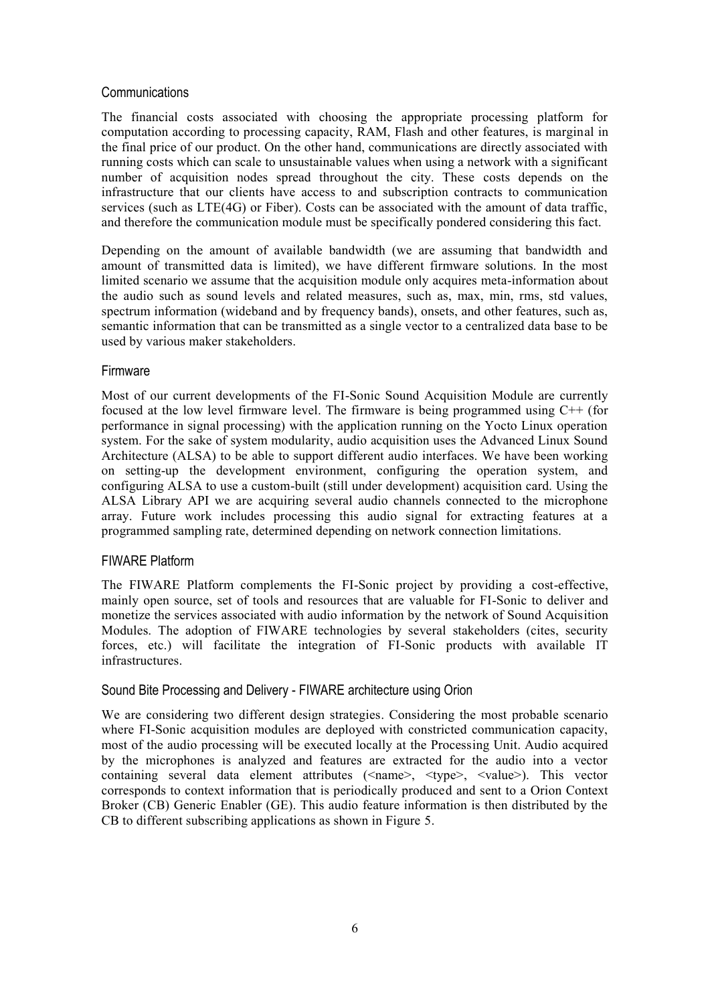#### **Communications**

The financial costs associated with choosing the appropriate processing platform for computation according to processing capacity, RAM, Flash and other features, is marginal in the final price of our product. On the other hand, communications are directly associated with running costs which can scale to unsustainable values when using a network with a significant number of acquisition nodes spread throughout the city. These costs depends on the infrastructure that our clients have access to and subscription contracts to communication services (such as LTE(4G) or Fiber). Costs can be associated with the amount of data traffic, and therefore the communication module must be specifically pondered considering this fact.

Depending on the amount of available bandwidth (we are assuming that bandwidth and amount of transmitted data is limited), we have different firmware solutions. In the most limited scenario we assume that the acquisition module only acquires meta-information about the audio such as sound levels and related measures, such as, max, min, rms, std values, spectrum information (wideband and by frequency bands), onsets, and other features, such as, semantic information that can be transmitted as a single vector to a centralized data base to be used by various maker stakeholders.

#### Firmware

Most of our current developments of the FI-Sonic Sound Acquisition Module are currently focused at the low level firmware level. The firmware is being programmed using C++ (for performance in signal processing) with the application running on the Yocto Linux operation system. For the sake of system modularity, audio acquisition uses the Advanced Linux Sound Architecture (ALSA) to be able to support different audio interfaces. We have been working on setting-up the development environment, configuring the operation system, and configuring ALSA to use a custom-built (still under development) acquisition card. Using the ALSA Library API we are acquiring several audio channels connected to the microphone array. Future work includes processing this audio signal for extracting features at a programmed sampling rate, determined depending on network connection limitations.

#### FIWARE Platform

The FIWARE Platform complements the FI-Sonic project by providing a cost-effective, mainly open source, set of tools and resources that are valuable for FI-Sonic to deliver and monetize the services associated with audio information by the network of Sound Acquisition Modules. The adoption of FIWARE technologies by several stakeholders (cites, security forces, etc.) will facilitate the integration of FI-Sonic products with available IT infrastructures.

#### Sound Bite Processing and Delivery - FIWARE architecture using Orion

We are considering two different design strategies. Considering the most probable scenario where FI-Sonic acquisition modules are deployed with constricted communication capacity, most of the audio processing will be executed locally at the Processing Unit. Audio acquired by the microphones is analyzed and features are extracted for the audio into a vector containing several data element attributes (<name>, <type>, <value>). This vector corresponds to context information that is periodically produced and sent to a Orion Context Broker (CB) Generic Enabler (GE). This audio feature information is then distributed by the CB to different subscribing applications as shown in Figure 5.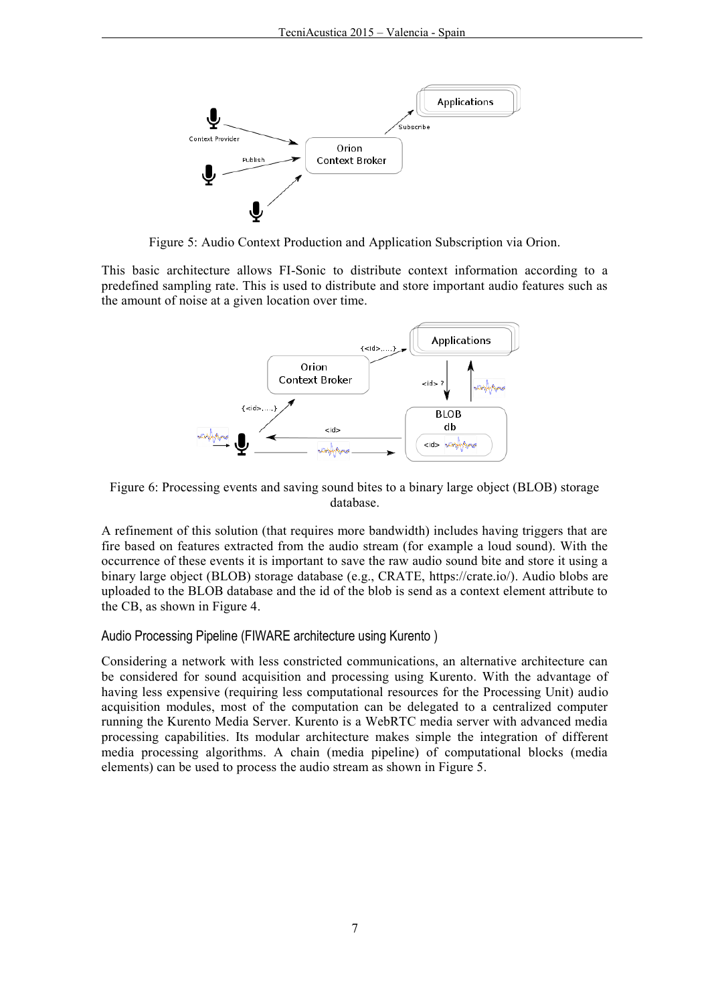

Figure 5: Audio Context Production and Application Subscription via Orion.

This basic architecture allows FI-Sonic to distribute context information according to a predefined sampling rate. This is used to distribute and store important audio features such as the amount of noise at a given location over time.



Figure 6: Processing events and saving sound bites to a binary large object (BLOB) storage database.

A refinement of this solution (that requires more bandwidth) includes having triggers that are fire based on features extracted from the audio stream (for example a loud sound). With the occurrence of these events it is important to save the raw audio sound bite and store it using a binary large object (BLOB) storage database (e.g., CRATE, [https://crate.io/\)](https://crate.io/). Audio blobs are uploaded to the BLOB database and the id of the blob is send as a context element attribute to the CB, as shown in Figure 4.

#### Audio Processing Pipeline (FIWARE architecture using Kurento )

Considering a network with less constricted communications, an alternative architecture can be considered for sound acquisition and processing using Kurento. With the advantage of having less expensive (requiring less computational resources for the Processing Unit) audio acquisition modules, most of the computation can be delegated to a centralized computer running the Kurento Media Server. Kurento is a WebRTC media server with advanced media processing capabilities. Its modular architecture makes simple the integration of different media processing algorithms. A chain (media pipeline) of computational blocks (media elements) can be used to process the audio stream as shown in Figure 5.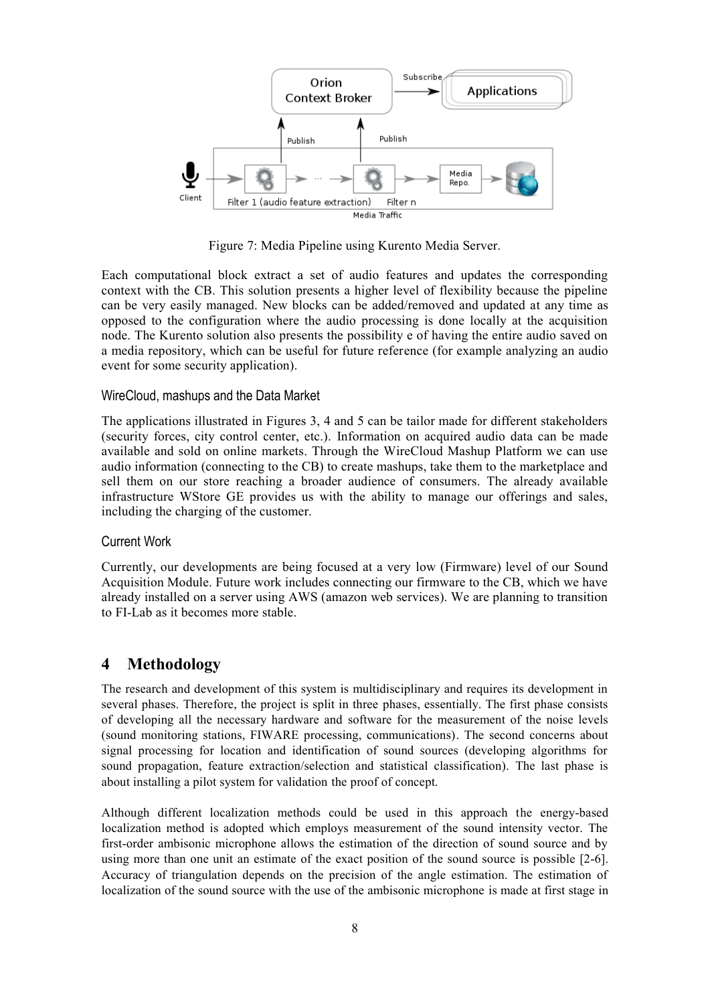

Figure 7: Media Pipeline using Kurento Media Server.

Each computational block extract a set of audio features and updates the corresponding context with the CB. This solution presents a higher level of flexibility because the pipeline can be very easily managed. New blocks can be added/removed and updated at any time as opposed to the configuration where the audio processing is done locally at the acquisition node. The Kurento solution also presents the possibility e of having the entire audio saved on a media repository, which can be useful for future reference (for example analyzing an audio event for some security application).

#### WireCloud, mashups and the Data Market

The applications illustrated in Figures 3, 4 and 5 can be tailor made for different stakeholders (security forces, city control center, etc.). Information on acquired audio data can be made available and sold on online markets. Through the WireCloud Mashup Platform we can use audio information (connecting to the CB) to create mashups, take them to the marketplace and sell them on our store reaching a broader audience of consumers. The already available infrastructure WStore GE provides us with the ability to manage our offerings and sales, including the charging of the customer.

#### Current Work

Currently, our developments are being focused at a very low (Firmware) level of our Sound Acquisition Module. Future work includes connecting our firmware to the CB, which we have already installed on a server using AWS (amazon web services). We are planning to transition to FI-Lab as it becomes more stable.

## **4 Methodology**

The research and development of this system is multidisciplinary and requires its development in several phases. Therefore, the project is split in three phases, essentially. The first phase consists of developing all the necessary hardware and software for the measurement of the noise levels (sound monitoring stations, FIWARE processing, communications). The second concerns about signal processing for location and identification of sound sources (developing algorithms for sound propagation, feature extraction/selection and statistical classification). The last phase is about installing a pilot system for validation the proof of concept.

Although different localization methods could be used in this approach the energy-based localization method is adopted which employs measurement of the sound intensity vector. The first-order ambisonic microphone allows the estimation of the direction of sound source and by using more than one unit an estimate of the exact position of the sound source is possible [2-6]. Accuracy of triangulation depends on the precision of the angle estimation. The estimation of localization of the sound source with the use of the ambisonic microphone is made at first stage in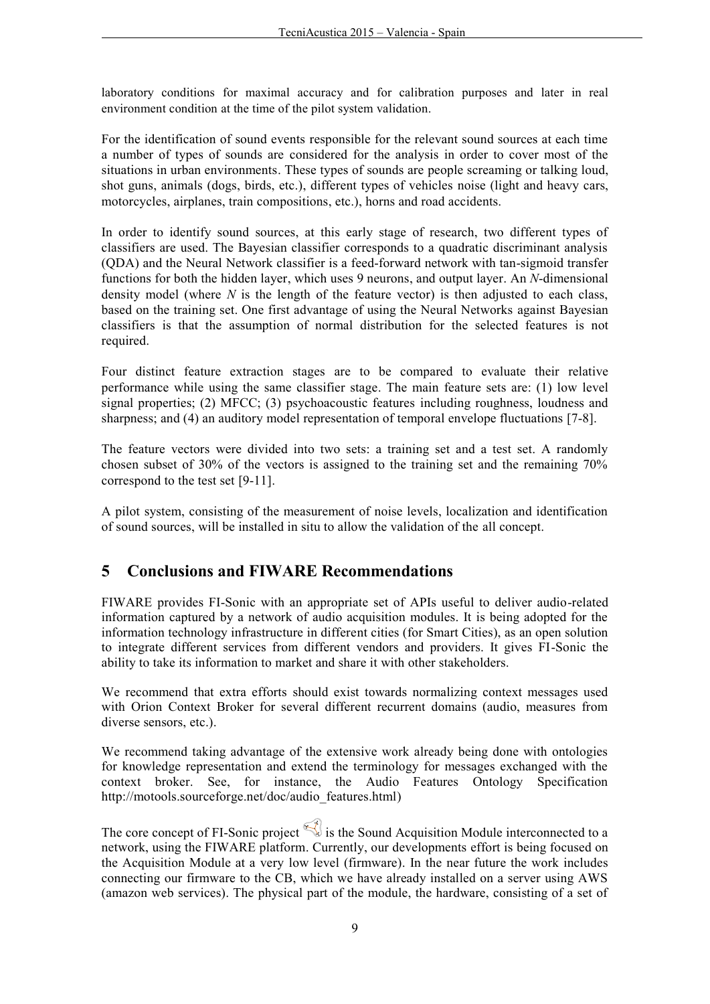laboratory conditions for maximal accuracy and for calibration purposes and later in real environment condition at the time of the pilot system validation.

For the identification of sound events responsible for the relevant sound sources at each time a number of types of sounds are considered for the analysis in order to cover most of the situations in urban environments. These types of sounds are people screaming or talking loud, shot guns, animals (dogs, birds, etc.), different types of vehicles noise (light and heavy cars, motorcycles, airplanes, train compositions, etc.), horns and road accidents.

In order to identify sound sources, at this early stage of research, two different types of classifiers are used. The Bayesian classifier corresponds to a quadratic discriminant analysis (QDA) and the Neural Network classifier is a feed-forward network with tan-sigmoid transfer functions for both the hidden layer, which uses 9 neurons, and output layer. An *N*-dimensional density model (where *N* is the length of the feature vector) is then adjusted to each class, based on the training set. One first advantage of using the Neural Networks against Bayesian classifiers is that the assumption of normal distribution for the selected features is not required.

Four distinct feature extraction stages are to be compared to evaluate their relative performance while using the same classifier stage. The main feature sets are: (1) low level signal properties; (2) MFCC; (3) psychoacoustic features including roughness, loudness and sharpness; and (4) an auditory model representation of temporal envelope fluctuations [7-8].

The feature vectors were divided into two sets: a training set and a test set. A randomly chosen subset of 30% of the vectors is assigned to the training set and the remaining 70% correspond to the test set [9-11].

A pilot system, consisting of the measurement of noise levels, localization and identification of sound sources, will be installed in situ to allow the validation of the all concept.

## **5 Conclusions and FIWARE Recommendations**

FIWARE provides FI-Sonic with an appropriate set of APIs useful to deliver audio-related information captured by a network of audio acquisition modules. It is being adopted for the information technology infrastructure in different cities (for Smart Cities), as an open solution to integrate different services from different vendors and providers. It gives FI-Sonic the ability to take its information to market and share it with other stakeholders.

We recommend that extra efforts should exist towards normalizing context messages used with Orion Context Broker for several different recurrent domains (audio, measures from diverse sensors, etc.).

We recommend taking advantage of the extensive work already being done with ontologies for knowledge representation and extend the terminology for messages exchanged with the context broker. See, for instance, the Audio Features Ontology Specification [http://motools.sourceforge.net/doc/audio\\_features.html\)](http://motools.sourceforge.net/doc/audio_features.html)

The core concept of FI-Sonic project  $\leq$  is the Sound Acquisition Module interconnected to a network, using the FIWARE platform. Currently, our developments effort is being focused on the Acquisition Module at a very low level (firmware). In the near future the work includes connecting our firmware to the CB, which we have already installed on a server using AWS (amazon web services). The physical part of the module, the hardware, consisting of a set of